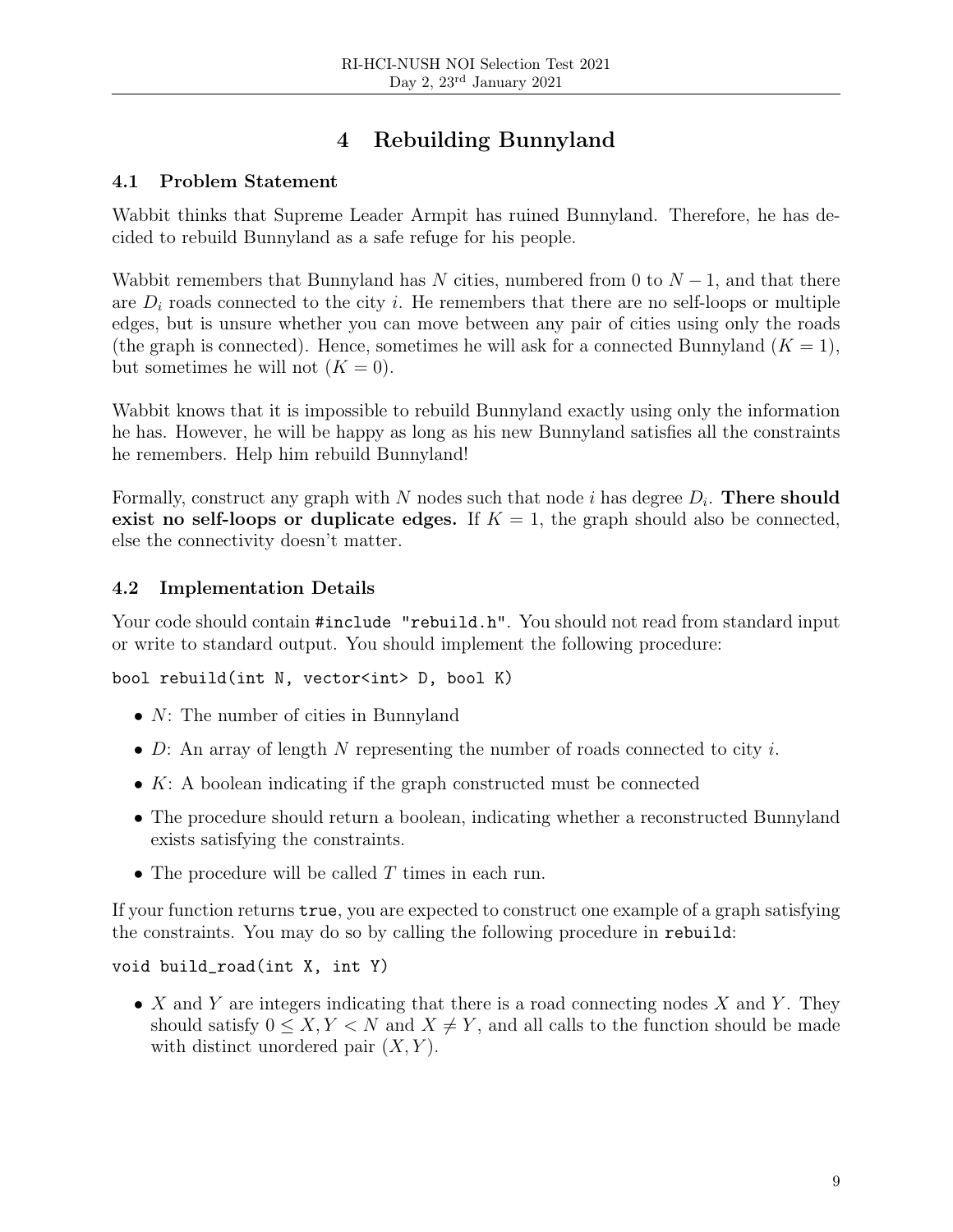# 4 Rebuilding Bunnyland

#### 4.1 Problem Statement

Wabbit thinks that Supreme Leader Armpit has ruined Bunnyland. Therefore, he has decided to rebuild Bunnyland as a safe refuge for his people.

Wabbit remembers that Bunnyland has N cities, numbered from 0 to  $N-1$ , and that there are  $D_i$  roads connected to the city i. He remembers that there are no self-loops or multiple edges, but is unsure whether you can move between any pair of cities using only the roads (the graph is connected). Hence, sometimes he will ask for a connected Bunnyland  $(K = 1)$ , but sometimes he will not  $(K = 0)$ .

Wabbit knows that it is impossible to rebuild Bunnyland exactly using only the information he has. However, he will be happy as long as his new Bunnyland satisfies all the constraints he remembers. Help him rebuild Bunnyland!

Formally, construct any graph with N nodes such that node i has degree  $D_i$ . There should exist no self-loops or duplicate edges. If  $K = 1$ , the graph should also be connected, else the connectivity doesn't matter.

### 4.2 Implementation Details

Your code should contain #include "rebuild.h". You should not read from standard input or write to standard output. You should implement the following procedure:

#### bool rebuild(int N, vector<int> D, bool K)

- $N$ : The number of cities in Bunnyland
- D: An array of length N representing the number of roads connected to city  $i$ .
- $K: A$  boolean indicating if the graph constructed must be connected
- The procedure should return a boolean, indicating whether a reconstructed Bunnyland exists satisfying the constraints.
- The procedure will be called  $T$  times in each run.

If your function returns true, you are expected to construct one example of a graph satisfying the constraints. You may do so by calling the following procedure in rebuild:

#### void build\_road(int X, int Y)

• X and Y are integers indicating that there is a road connecting nodes  $X$  and  $Y$ . They should satisfy  $0 \leq X, Y < N$  and  $X \neq Y$ , and all calls to the function should be made with distinct unordered pair  $(X, Y)$ .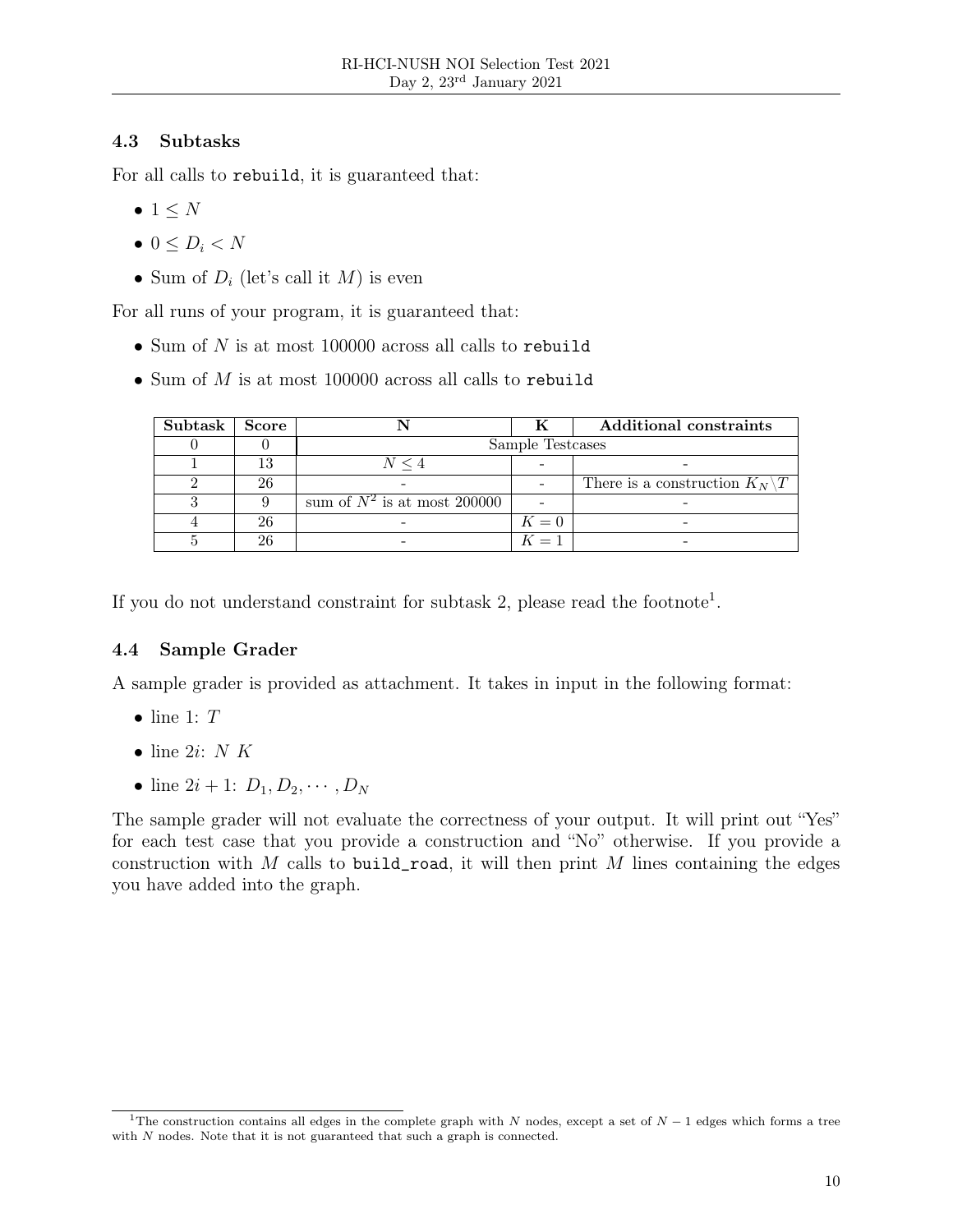#### 4.3 Subtasks

For all calls to rebuild, it is guaranteed that:

- $\bullet$  1  $\leq$  N
- $\bullet$  0  $\leq D_i \leq N$
- Sum of  $D_i$  (let's call it M) is even

For all runs of your program, it is guaranteed that:

- $\bullet$  Sum of  $N$  is at most 100000 across all calls to rebuild
- $\bullet$  Sum of  $M$  is at most 100000 across all calls to rebuild

| Subtask | Score |                                |       | Additional constraints                     |
|---------|-------|--------------------------------|-------|--------------------------------------------|
|         |       | Sample Testcases               |       |                                            |
|         | 13    | N < 4                          |       |                                            |
|         | 26    |                                |       | There is a construction $K_N \backslash T$ |
|         |       | sum of $N^2$ is at most 200000 |       |                                            |
|         | 26    |                                | $K=0$ |                                            |
|         | 26    |                                |       |                                            |

If you do not understand constraint for subtask 2, please read the footnote<sup>1</sup>.

## 4.4 Sample Grader

A sample grader is provided as attachment. It takes in input in the following format:

- line 1:  $T$
- $\bullet$  line 2*i*: *N* K
- line  $2i + 1: D_1, D_2, \cdots, D_N$

The sample grader will not evaluate the correctness of your output. It will print out "Yes" for each test case that you provide a construction and "No" otherwise. If you provide a construction with M calls to build\_road, it will then print M lines containing the edges you have added into the graph.

<sup>&</sup>lt;sup>1</sup>The construction contains all edges in the complete graph with N nodes, except a set of  $N-1$  edges which forms a tree with  $N$  nodes. Note that it is not guaranteed that such a graph is connected.